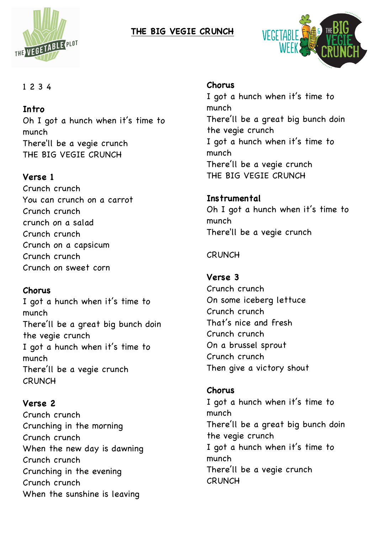

# **THE BIG VEGIE CRUNCH**



### 1 2 3 4

### **Intro**

Oh I got a hunch when it's time to munch There'll be a vegie crunch THE BIG VEGIE CRUNCH

### **Verse 1**

Crunch crunch You can crunch on a carrot Crunch crunch crunch on a salad Crunch crunch Crunch on a capsicum Crunch crunch Crunch on sweet corn

#### **Chorus**

I got a hunch when it's time to munch There'll be a great big bunch doin the vegie crunch I got a hunch when it's time to munch There'll be a vegie crunch **CRUNCH** 

# **Verse 2**

Crunch crunch Crunching in the morning Crunch crunch When the new day is dawning Crunch crunch Crunching in the evening Crunch crunch When the sunshine is leaving

#### **Chorus**

I got a hunch when it's time to munch There'll be a great big bunch doin the vegie crunch I got a hunch when it's time to munch There'll be a vegie crunch THE BIG VEGIE CRUNCH

**Instrumental** Oh I got a hunch when it's time to munch There'll be a vegie crunch

#### **CRUNCH**

#### **Verse 3**

Crunch crunch On some iceberg lettuce Crunch crunch That's nice and fresh Crunch crunch On a brussel sprout Crunch crunch Then give a victory shout

### **Chorus**

I got a hunch when it's time to munch There'll be a great big bunch doin the vegie crunch I got a hunch when it's time to munch There'll be a vegie crunch **CRUNCH**